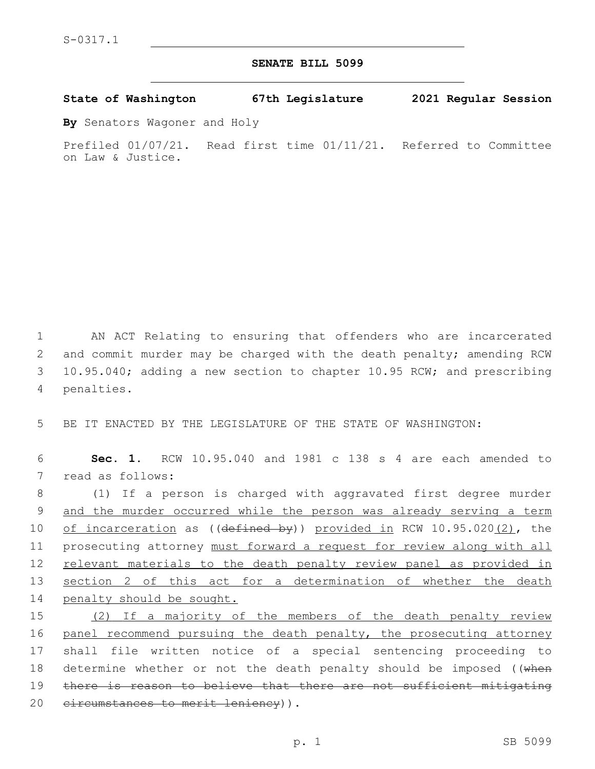## **SENATE BILL 5099**

**State of Washington 67th Legislature 2021 Regular Session**

**By** Senators Wagoner and Holy

Prefiled 01/07/21. Read first time 01/11/21. Referred to Committee on Law & Justice.

1 AN ACT Relating to ensuring that offenders who are incarcerated 2 and commit murder may be charged with the death penalty; amending RCW 3 10.95.040; adding a new section to chapter 10.95 RCW; and prescribing 4 penalties.

5 BE IT ENACTED BY THE LEGISLATURE OF THE STATE OF WASHINGTON:

6 **Sec. 1.** RCW 10.95.040 and 1981 c 138 s 4 are each amended to 7 read as follows:

 (1) If a person is charged with aggravated first degree murder and the murder occurred while the person was already serving a term 10 of incarceration as ((defined by)) provided in RCW 10.95.020(2), the prosecuting attorney must forward a request for review along with all 12 relevant materials to the death penalty review panel as provided in section 2 of this act for a determination of whether the death penalty should be sought.

15 (2) If a majority of the members of the death penalty review 16 panel recommend pursuing the death penalty, the prosecuting attorney 17 shall file written notice of a special sentencing proceeding to 18 determine whether or not the death penalty should be imposed ((when 19 there is reason to believe that there are not sufficient mitigating 20 eircumstances to merit leniency)).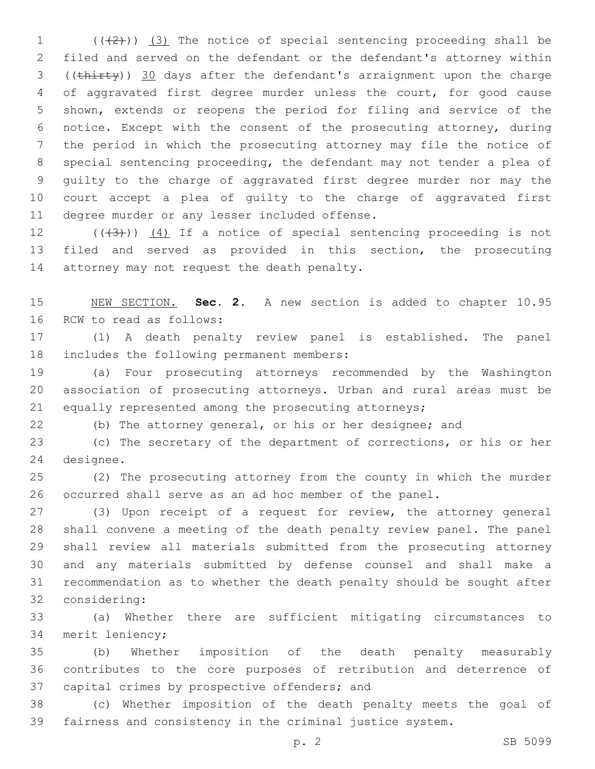$((+2))$   $(3)$  The notice of special sentencing proceeding shall be filed and served on the defendant or the defendant's attorney within ((thirty)) 30 days after the defendant's arraignment upon the charge of aggravated first degree murder unless the court, for good cause shown, extends or reopens the period for filing and service of the notice. Except with the consent of the prosecuting attorney, during the period in which the prosecuting attorney may file the notice of special sentencing proceeding, the defendant may not tender a plea of guilty to the charge of aggravated first degree murder nor may the court accept a plea of guilty to the charge of aggravated first 11 degree murder or any lesser included offense.

12  $((+3+))$   $(4)$  If a notice of special sentencing proceeding is not filed and served as provided in this section, the prosecuting 14 attorney may not request the death penalty.

 NEW SECTION. **Sec. 2.** A new section is added to chapter 10.95 16 RCW to read as follows:

 (1) A death penalty review panel is established. The panel 18 includes the following permanent members:

 (a) Four prosecuting attorneys recommended by the Washington association of prosecuting attorneys. Urban and rural areas must be equally represented among the prosecuting attorneys;

(b) The attorney general, or his or her designee; and

 (c) The secretary of the department of corrections, or his or her 24 designee.

 (2) The prosecuting attorney from the county in which the murder occurred shall serve as an ad hoc member of the panel.

 (3) Upon receipt of a request for review, the attorney general shall convene a meeting of the death penalty review panel. The panel shall review all materials submitted from the prosecuting attorney and any materials submitted by defense counsel and shall make a recommendation as to whether the death penalty should be sought after 32 considering:

 (a) Whether there are sufficient mitigating circumstances to 34 merit leniency;

 (b) Whether imposition of the death penalty measurably contributes to the core purposes of retribution and deterrence of 37 capital crimes by prospective offenders; and

 (c) Whether imposition of the death penalty meets the goal of fairness and consistency in the criminal justice system.